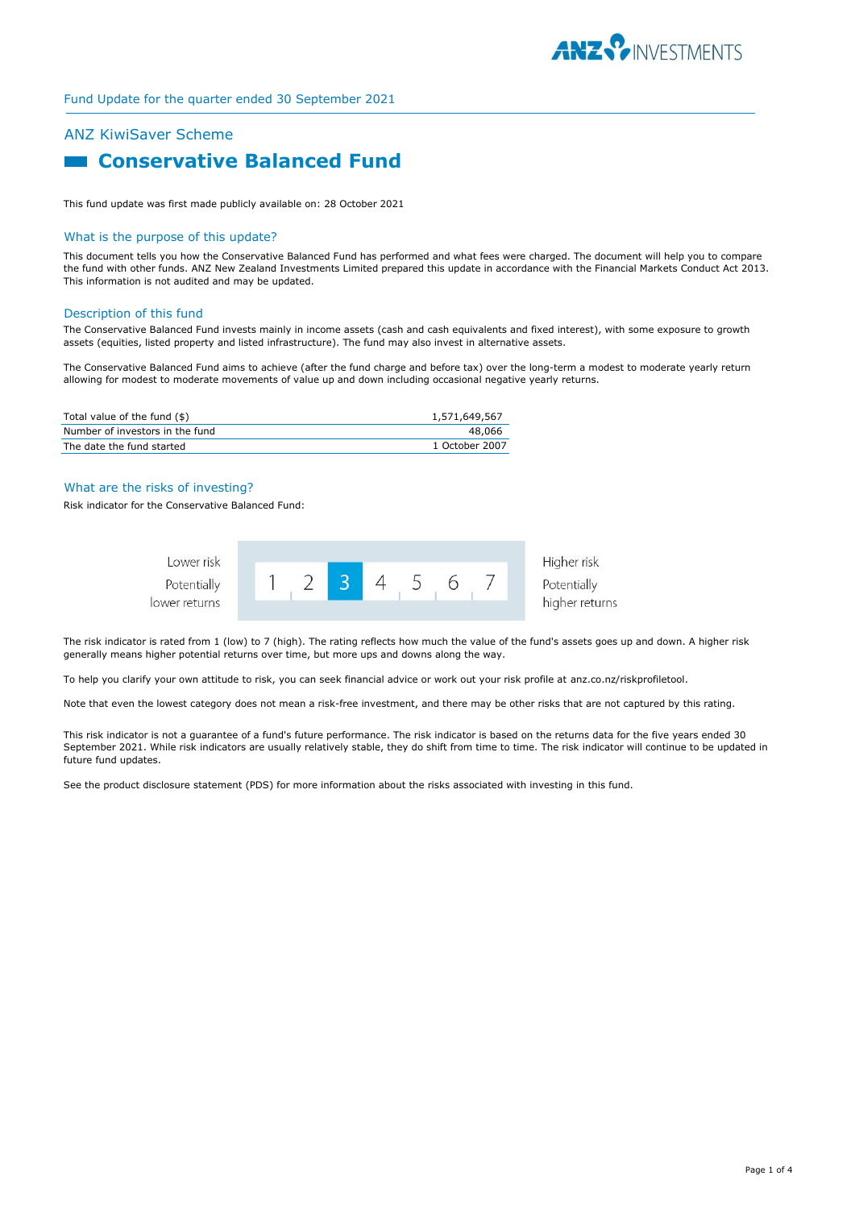

## ANZ KiwiSaver Scheme

# **Example 2 Conservative Balanced Fund**

This fund update was first made publicly available on: 28 October 2021

#### What is the purpose of this update?

This document tells you how the Conservative Balanced Fund has performed and what fees were charged. The document will help you to compare the fund with other funds. ANZ New Zealand Investments Limited prepared this update in accordance with the Financial Markets Conduct Act 2013. This information is not audited and may be updated.

#### Description of this fund

The Conservative Balanced Fund invests mainly in income assets (cash and cash equivalents and fixed interest), with some exposure to growth assets (equities, listed property and listed infrastructure). The fund may also invest in alternative assets.

The Conservative Balanced Fund aims to achieve (after the fund charge and before tax) over the long-term a modest to moderate yearly return allowing for modest to moderate movements of value up and down including occasional negative yearly returns.

| Total value of the fund (\$)    | 1,571,649,567  |
|---------------------------------|----------------|
| Number of investors in the fund | 48.066         |
| The date the fund started       | 1 October 2007 |

#### What are the risks of investing?

Risk indicator for the Conservative Balanced Fund:



The risk indicator is rated from 1 (low) to 7 (high). The rating reflects how much the value of the fund's assets goes up and down. A higher risk generally means higher potential returns over time, but more ups and downs along the way.

To help you clarify your own attitude to risk, you can seek financial advice or work out your risk profile at anz.co.nz/riskprofiletool.

Note that even the lowest category does not mean a risk-free investment, and there may be other risks that are not captured by this rating.

This risk indicator is not a guarantee of a fund's future performance. The risk indicator is based on the returns data for the five years ended 30 September 2021. While risk indicators are usually relatively stable, they do shift from time to time. The risk indicator will continue to be updated in future fund updates.

See the product disclosure statement (PDS) for more information about the risks associated with investing in this fund.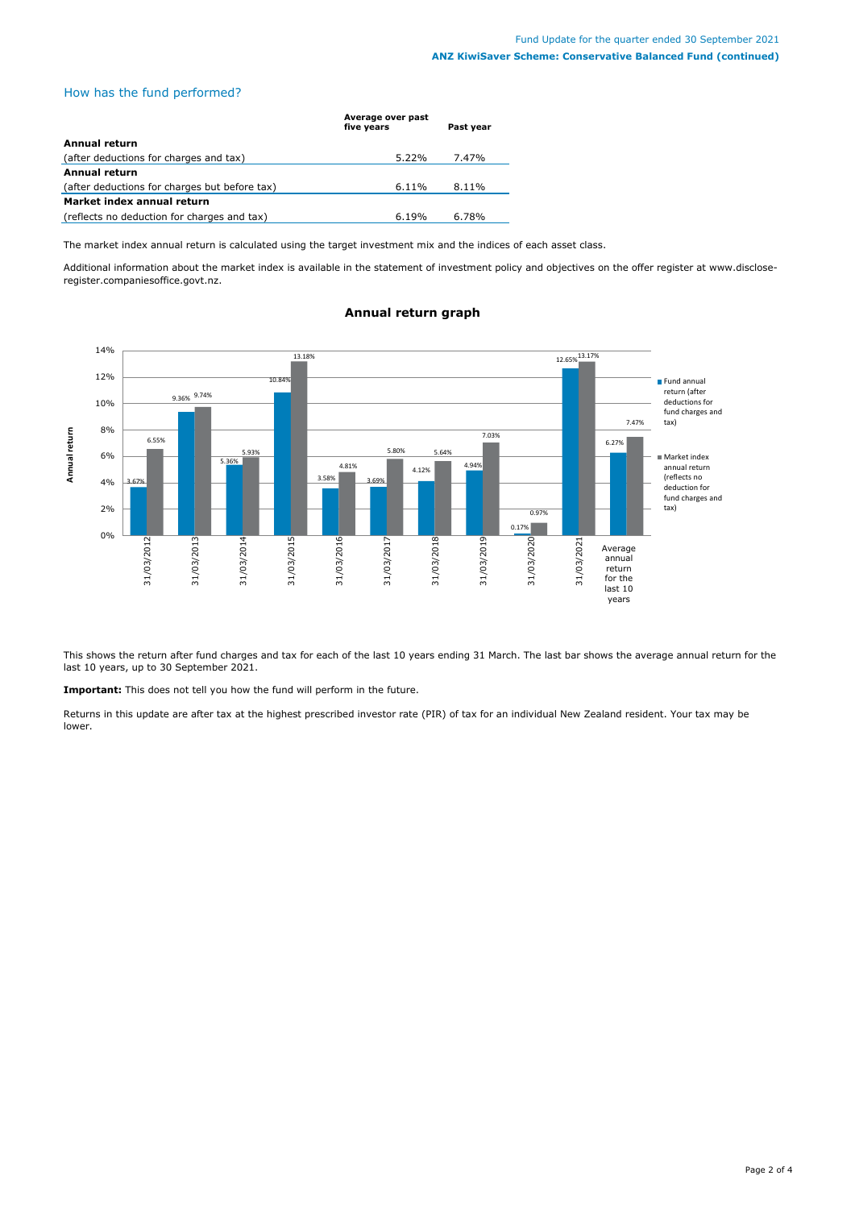### How has the fund performed?

|                                               | Average over past<br>five years | Past year |
|-----------------------------------------------|---------------------------------|-----------|
| Annual return                                 |                                 |           |
| (after deductions for charges and tax)        | $5.22\%$                        | 7.47%     |
| <b>Annual return</b>                          |                                 |           |
| (after deductions for charges but before tax) | $6.11\%$                        | 8.11%     |
| Market index annual return                    |                                 |           |
| (reflects no deduction for charges and tax)   | 6.19%                           | $6.78\%$  |

The market index annual return is calculated using the target investment mix and the indices of each asset class.

Additional information about the market index is available in the statement of investment policy and objectives on the offer register at www.discloseregister.companiesoffice.govt.nz.



#### **Annual return graph**

This shows the return after fund charges and tax for each of the last 10 years ending 31 March. The last bar shows the average annual return for the last 10 years, up to 30 September 2021.

**Important:** This does not tell you how the fund will perform in the future.

Returns in this update are after tax at the highest prescribed investor rate (PIR) of tax for an individual New Zealand resident. Your tax may be lower.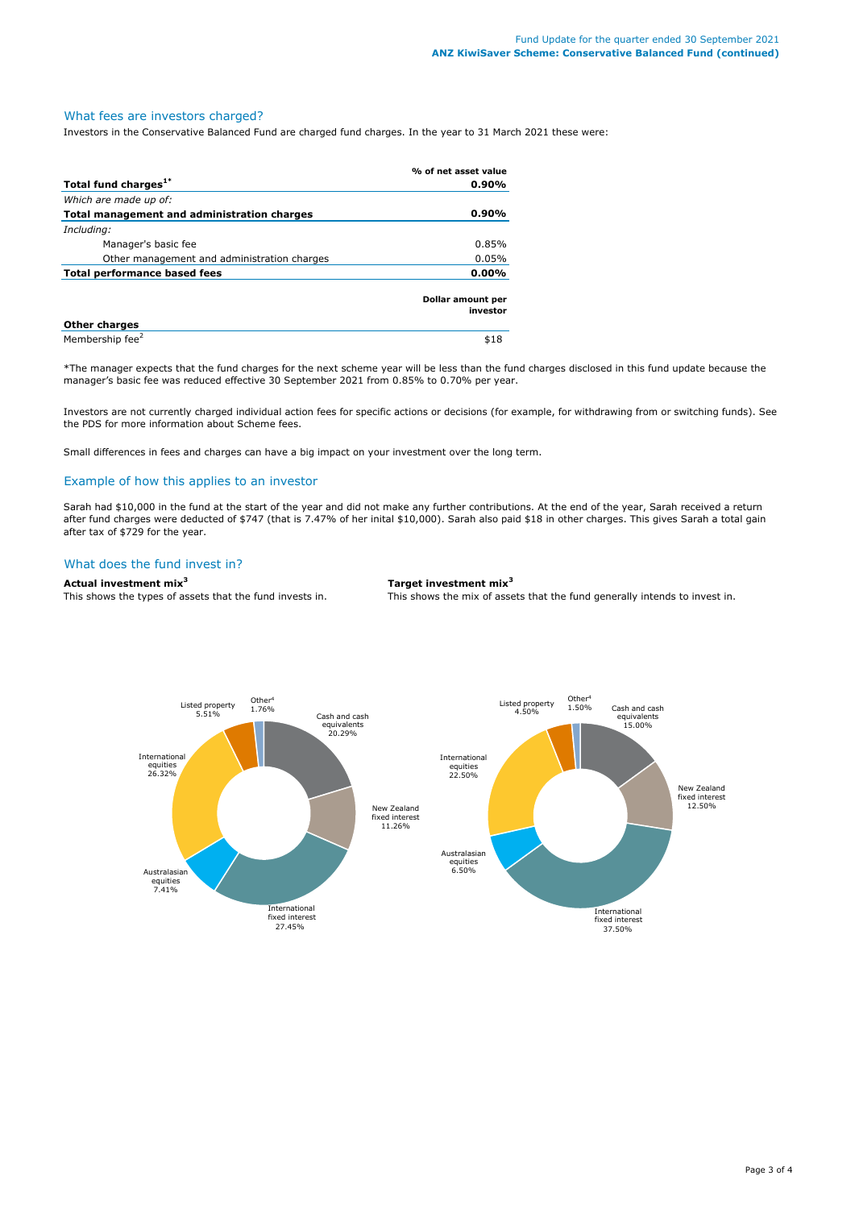### What fees are investors charged?

Investors in the Conservative Balanced Fund are charged fund charges. In the year to 31 March 2021 these were:

|                                             | % of net asset value          |
|---------------------------------------------|-------------------------------|
| Total fund charges <sup>1*</sup>            | $0.90\%$                      |
| Which are made up of:                       |                               |
| Total management and administration charges | $0.90\%$                      |
| Including:                                  |                               |
| Manager's basic fee                         | 0.85%                         |
| Other management and administration charges | $0.05\%$                      |
| Total performance based fees                |                               |
|                                             | Dollar amount per<br>investor |
| <b>Other charges</b>                        |                               |
| Membership fee <sup>2</sup>                 | \$18                          |

\*The manager expects that the fund charges for the next scheme year will be less than the fund charges disclosed in this fund update because the manager's basic fee was reduced effective 30 September 2021 from 0.85% to 0.70% per year.

Investors are not currently charged individual action fees for specific actions or decisions (for example, for withdrawing from or switching funds). See the PDS for more information about Scheme fees.

Small differences in fees and charges can have a big impact on your investment over the long term.

#### Example of how this applies to an investor

Sarah had \$10,000 in the fund at the start of the year and did not make any further contributions. At the end of the year, Sarah received a return after fund charges were deducted of \$747 (that is 7.47% of her inital \$10,000). Sarah also paid \$18 in other charges. This gives Sarah a total gain after tax of \$729 for the year.

#### What does the fund invest in?

#### **Actual investment mix<sup>3</sup> Target investment mix<sup>3</sup>**

This shows the types of assets that the fund invests in. This shows the mix of assets that the fund generally intends to invest in.